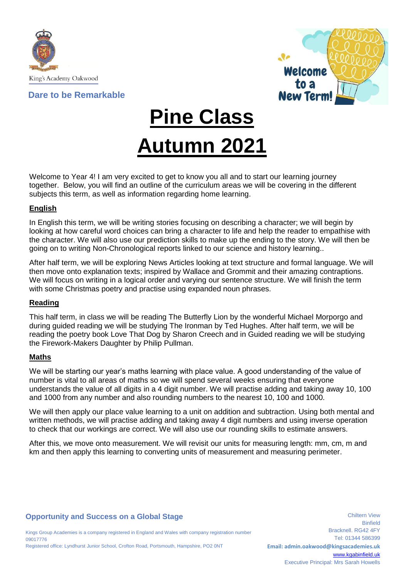

# **Dare to be Remarkable**



**Pine Class**

# **Autumn 2021**

Welcome to Year 4! I am very excited to get to know you all and to start our learning journey together. Below, you will find an outline of the curriculum areas we will be covering in the different subjects this term, as well as information regarding home learning.

## **English**

In English this term, we will be writing stories focusing on describing a character; we will begin by looking at how careful word choices can bring a character to life and help the reader to empathise with the character. We will also use our prediction skills to make up the ending to the story. We will then be going on to writing Non-Chronological reports linked to our science and history learning..

After half term, we will be exploring News Articles looking at text structure and formal language. We will then move onto explanation texts; inspired by Wallace and Grommit and their amazing contraptions. We will focus on writing in a logical order and varying our sentence structure. We will finish the term with some Christmas poetry and practise using expanded noun phrases.

#### **Reading**

This half term, in class we will be reading The Butterfly Lion by the wonderful Michael Morporgo and during guided reading we will be studying The Ironman by Ted Hughes. After half term, we will be reading the poetry book Love That Dog by Sharon Creech and in Guided reading we will be studying the Firework-Makers Daughter by Philip Pullman.

#### **Maths**

We will be starting our year's maths learning with place value. A good understanding of the value of number is vital to all areas of maths so we will spend several weeks ensuring that everyone understands the value of all digits in a 4 digit number. We will practise adding and taking away 10, 100 and 1000 from any number and also rounding numbers to the nearest 10, 100 and 1000.

We will then apply our place value learning to a unit on addition and subtraction. Using both mental and written methods, we will practise adding and taking away 4 digit numbers and using inverse operation to check that our workings are correct. We will also use our rounding skills to estimate answers.

After this, we move onto measurement. We will revisit our units for measuring length: mm, cm, m and km and then apply this learning to converting units of measurement and measuring perimeter.

# **Opportunity and Success on a Global Stage**

Kings Group Academies is a company registered in England and Wales with company registration number 09017776 Registered office: Lyndhurst Junior School, Crofton Road, Portsmouth, Hampshire, PO2 0NT

Chiltern View Binfield Bracknell. RG42 4FY Tel: 01344 586399 **Email: admin.oakwood@kingsacademies.uk** [www.kgabinfield.uk](http://www.kgabinfield.uk/) Executive Principal: Mrs Sarah Howells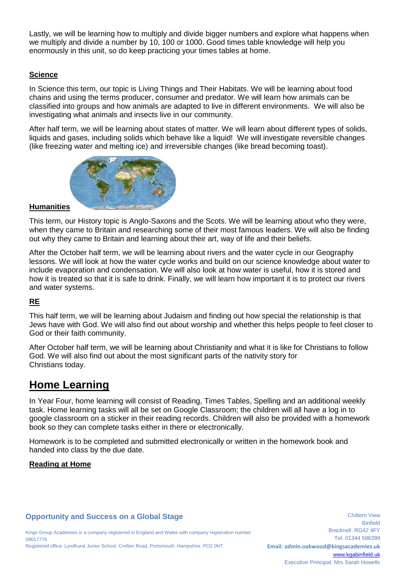Lastly, we will be learning how to multiply and divide bigger numbers and explore what happens when we multiply and divide a number by 10, 100 or 1000. Good times table knowledge will help you enormously in this unit, so do keep practicing your times tables at home.

# **Science**

In Science this term, our topic is Living Things and Their Habitats. We will be learning about food chains and using the terms producer, consumer and predator. We will learn how animals can be classified into groups and how animals are adapted to live in different environments. We will also be investigating what animals and insects live in our community.

After half term, we will be learning about states of matter. We will learn about different types of solids, liquids and gases, including solids which behave like a liquid! We will investigate reversible changes (like freezing water and melting ice) and irreversible changes (like bread becoming toast).



#### **Humanities**

This term, our History topic is Anglo-Saxons and the Scots. We will be learning about who they were, when they came to Britain and researching some of their most famous leaders. We will also be finding out why they came to Britain and learning about their art, way of life and their beliefs.

After the October half term, we will be learning about rivers and the water cycle in our Geography lessons. We will look at how the water cycle works and build on our science knowledge about water to include evaporation and condensation. We will also look at how water is useful, how it is stored and how it is treated so that it is safe to drink. Finally, we will learn how important it is to protect our rivers and water systems.

# **RE**

This half term, we will be learning about Judaism and finding out how special the relationship is that Jews have with God. We will also find out about worship and whether this helps people to feel closer to God or their faith community.

After October half term, we will be learning about Christianity and what it is like for Christians to follow God. We will also find out about the most significant parts of the nativity story for Christians today.

# **Home Learning**

In Year Four, home learning will consist of Reading, Times Tables, Spelling and an additional weekly task. Home learning tasks will all be set on Google Classroom; the children will all have a log in to google classroom on a sticker in their reading records. Children will also be provided with a homework book so they can complete tasks either in there or electronically.

Homework is to be completed and submitted electronically or written in the homework book and handed into class by the due date.

#### **Reading at Home**

# **Opportunity and Success on a Global Stage**

Kings Group Academies is a company registered in England and Wales with company registration number 09017776 Registered office: Lyndhurst Junior School, Crofton Road, Portsmouth, Hampshire, PO2 0NT

**Binfield** Bracknell. RG42 4FY Tel: 01344 586399 **Email: admin.oakwood@kingsacademies.uk** [www.kgabinfield.uk](http://www.kgabinfield.uk/) Executive Principal: Mrs Sarah Howells

Chiltern View